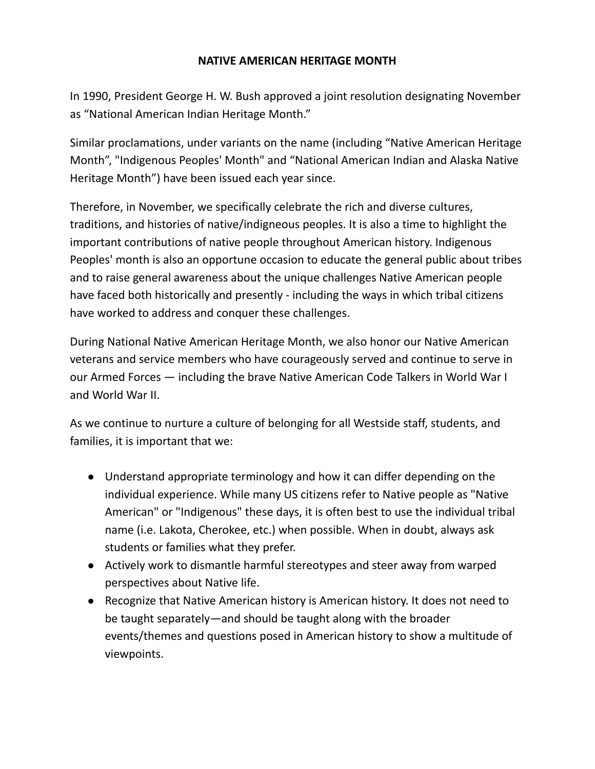# **NATIVE AMERICAN HERITAGE MONTH**

In 1990, President George H. W. Bush approved a joint resolution designating November as "National American Indian Heritage Month."

Similar proclamations, under variants on the name (including "Native American Heritage Month", "Indigenous Peoples' Month" and "National American Indian and Alaska Native Heritage Month") have been issued each year since.

Therefore, in November, we specifically celebrate the rich and diverse cultures, traditions, and histories of native/indigneous peoples. It is also a time to highlight the important contributions of native people throughout American history. Indigenous Peoples' month is also an opportune occasion to educate the general public about tribes and to raise general awareness about the unique challenges Native American people have faced both historically and presently - including the ways in which tribal citizens have worked to address and conquer these challenges.

During National Native American Heritage Month, we also honor our Native American veterans and service members who have courageously served and continue to serve in our Armed Forces — including the brave Native American Code Talkers in World War I and World War II.

As we continue to nurture a culture of belonging for all Westside staff, students, and families, it is important that we:

- Understand appropriate terminology and how it can differ depending on the individual experience. While many US citizens refer to Native people as "Native American" or "Indigenous" these days, it is often best to use the individual tribal name (i.e. Lakota, Cherokee, etc.) when possible. When in doubt, always ask students or families what they prefer.
- Actively work to dismantle harmful stereotypes and steer away from warped perspectives about Native life.
- Recognize that Native American history is American history. It does not need to be taught separately—and should be taught along with the broader events/themes and questions posed in American history to show a multitude of viewpoints.